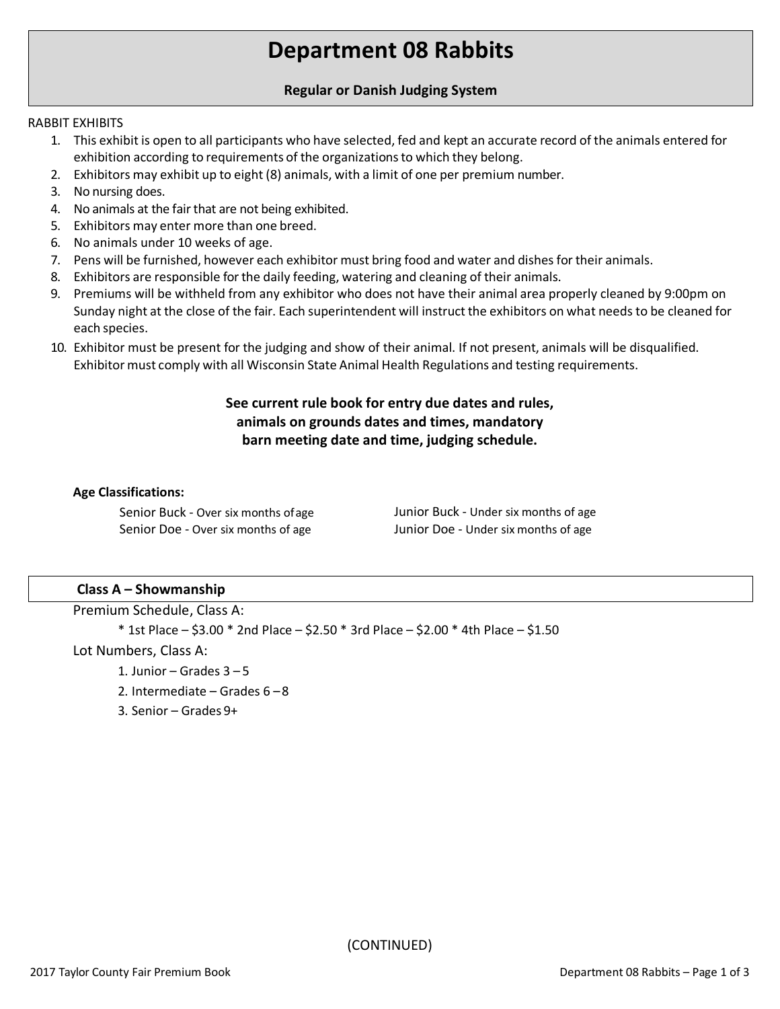# **Department 08 Rabbits**

## **Regular or Danish Judging System**

#### RABBIT EXHIBITS

- 1. This exhibit is open to all participants who have selected, fed and kept an accurate record of the animals entered for exhibition according to requirements of the organizationsto which they belong.
- 2. Exhibitors may exhibit up to eight (8) animals, with a limit of one per premium number.
- 3. No nursing does.
- 4. No animals at the fair that are not being exhibited.
- 5. Exhibitors may enter more than one breed.
- 6. No animals under 10 weeks of age.
- 7. Pens will be furnished, however each exhibitor must bring food and water and dishesfor their animals.
- 8. Exhibitors are responsible for the daily feeding, watering and cleaning of their animals.
- 9. Premiums will be withheld from any exhibitor who does not have their animal area properly cleaned by 9:00pm on Sunday night at the close of the fair. Each superintendent will instruct the exhibitors on what needs to be cleaned for each species.
- 10. Exhibitor must be present for the judging and show of their animal. If not present, animals will be disqualified. Exhibitor must comply with all Wisconsin State Animal Health Regulations and testing requirements.

# **See current rule book for entry due dates and rules, animals on grounds dates and times, mandatory barn meeting date and time, judging schedule.**

#### **Age Classifications:**

Senior Buck - Over six months ofage Senior Doe - Over six months of age

Junior Buck - Under six months of age Junior Doe - Under six months of age

## **Class A – Showmanship**

Premium Schedule, Class A:

```
* 1st Place – $3.00 * 2nd Place – $2.50 * 3rd Place – $2.00 * 4th Place – $1.50
```
#### Lot Numbers, Class A:

- 1. Junior Grades  $3 5$
- 2. Intermediate Grades 6 –8
- 3. Senior Grades 9+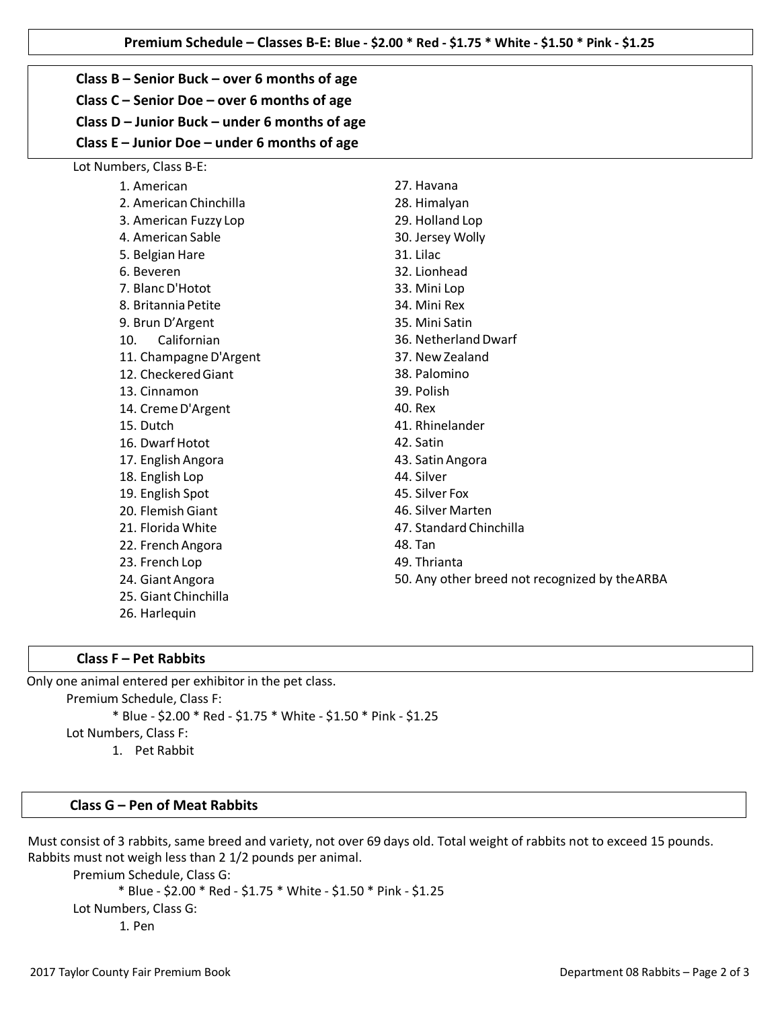#### **Class B – Senior Buck – over 6 months of age**

## **Class C – Senior Doe – over 6 months of age**

**Class D – Junior Buck – under 6 months of age** 

## **Class E – Junior Doe – under 6 months of age**

| Lot Numbers, Class B-E: |                        |                                                |
|-------------------------|------------------------|------------------------------------------------|
|                         | 1. American            | 27. Havana                                     |
|                         | 2. American Chinchilla | 28. Himalyan                                   |
|                         | 3. American Fuzzy Lop  | 29. Holland Lop                                |
|                         | 4. American Sable      | 30. Jersey Wolly                               |
|                         | 5. Belgian Hare        | 31. Lilac                                      |
|                         | 6. Beveren             | 32. Lionhead                                   |
|                         | 7. Blanc D'Hotot       | 33. Mini Lop                                   |
|                         | 8. Britannia Petite    | 34. Mini Rex                                   |
|                         | 9. Brun D'Argent       | 35. Mini Satin                                 |
|                         | Californian<br>10.     | 36. Netherland Dwarf                           |
|                         | 11. Champagne D'Argent | 37. New Zealand                                |
|                         | 12. Checkered Giant    | 38. Palomino                                   |
|                         | 13. Cinnamon           | 39. Polish                                     |
|                         | 14. Creme D'Argent     | 40. Rex                                        |
|                         | 15. Dutch              | 41. Rhinelander                                |
|                         | 16. Dwarf Hotot        | 42. Satin                                      |
|                         | 17. English Angora     | 43. Satin Angora                               |
|                         | 18. English Lop        | 44. Silver                                     |
|                         | 19. English Spot       | 45. Silver Fox                                 |
|                         | 20. Flemish Giant      | 46. Silver Marten                              |
|                         | 21. Florida White      | 47. Standard Chinchilla                        |
|                         | 22. French Angora      | 48. Tan                                        |
|                         | 23. French Lop         | 49. Thrianta                                   |
|                         | 24. Giant Angora       | 50. Any other breed not recognized by the ARBA |
|                         | 25. Giant Chinchilla   |                                                |
|                         | 26. Harlequin          |                                                |

#### **Class F – Pet Rabbits**

 Only one animal entered per exhibitor in the pet class. Premium Schedule, Class F: \* Blue - \$2.00 \* Red - \$1.75 \* White - \$1.50 \* Pink - \$1.25 Lot Numbers, Class F: 1. Pet Rabbit

#### **Class G – Pen of Meat Rabbits**

Must consist of 3 rabbits, same breed and variety, not over 69 days old. Total weight of rabbits not to exceed 15 pounds. Rabbits must not weigh less than 2 1/2 pounds per animal.

Premium Schedule, Class G:

\* Blue - \$2.00 \* Red - \$1.75 \* White - \$1.50 \* Pink - \$1.25 Lot Numbers, Class G: 1. Pen